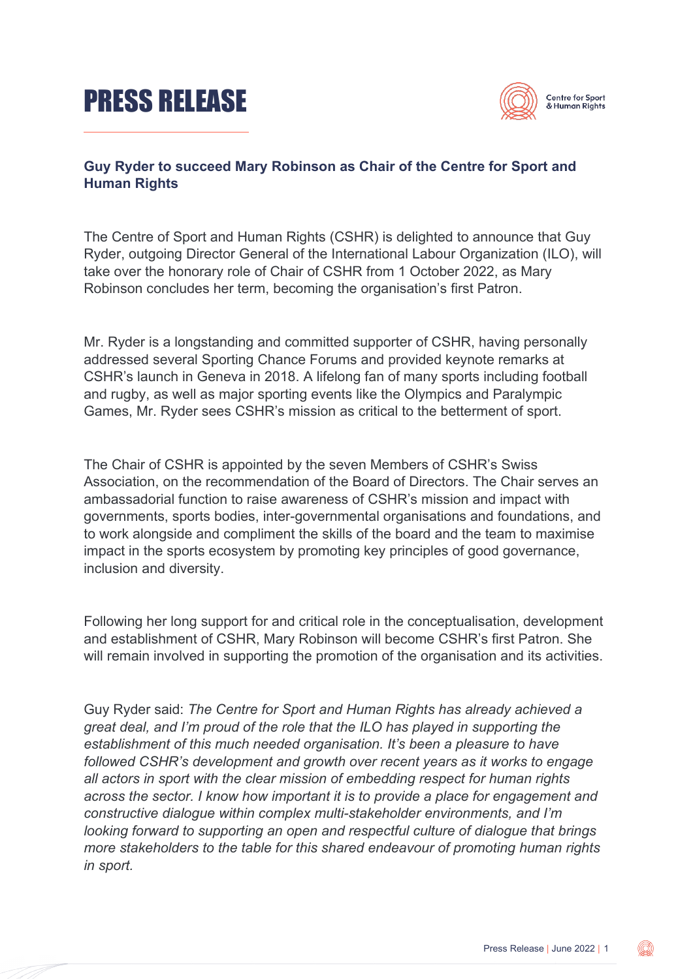# PRESS RELEASE



## **Guy Ryder to succeed Mary Robinson as Chair of the Centre for Sport and Human Rights**

The Centre of Sport and Human Rights (CSHR) is delighted to announce that Guy Ryder, outgoing Director General of the International Labour Organization (ILO), will take over the honorary role of Chair of CSHR from 1 October 2022, as Mary Robinson concludes her term, becoming the organisation's first Patron.

Mr. Ryder is a longstanding and committed supporter of CSHR, having personally addressed several Sporting Chance Forums and provided keynote remarks at CSHR's launch in Geneva in 2018. A lifelong fan of many sports including football and rugby, as well as major sporting events like the Olympics and Paralympic Games, Mr. Ryder sees CSHR's mission as critical to the betterment of sport.

The Chair of CSHR is appointed by the seven Members of CSHR's Swiss Association, on the recommendation of the Board of Directors. The Chair serves an ambassadorial function to raise awareness of CSHR's mission and impact with governments, sports bodies, inter-governmental organisations and foundations, and to work alongside and compliment the skills of the board and the team to maximise impact in the sports ecosystem by promoting key principles of good governance, inclusion and diversity.

Following her long support for and critical role in the conceptualisation, development and establishment of CSHR, Mary Robinson will become CSHR's first Patron. She will remain involved in supporting the promotion of the organisation and its activities.

Guy Ryder said: *The Centre for Sport and Human Rights has already achieved a great deal, and I'm proud of the role that the ILO has played in supporting the establishment of this much needed organisation. It's been a pleasure to have followed CSHR's development and growth over recent years as it works to engage all actors in sport with the clear mission of embedding respect for human rights across the sector. I know how important it is to provide a place for engagement and constructive dialogue within complex multi-stakeholder environments, and I'm looking forward to supporting an open and respectful culture of dialogue that brings more stakeholders to the table for this shared endeavour of promoting human rights in sport.*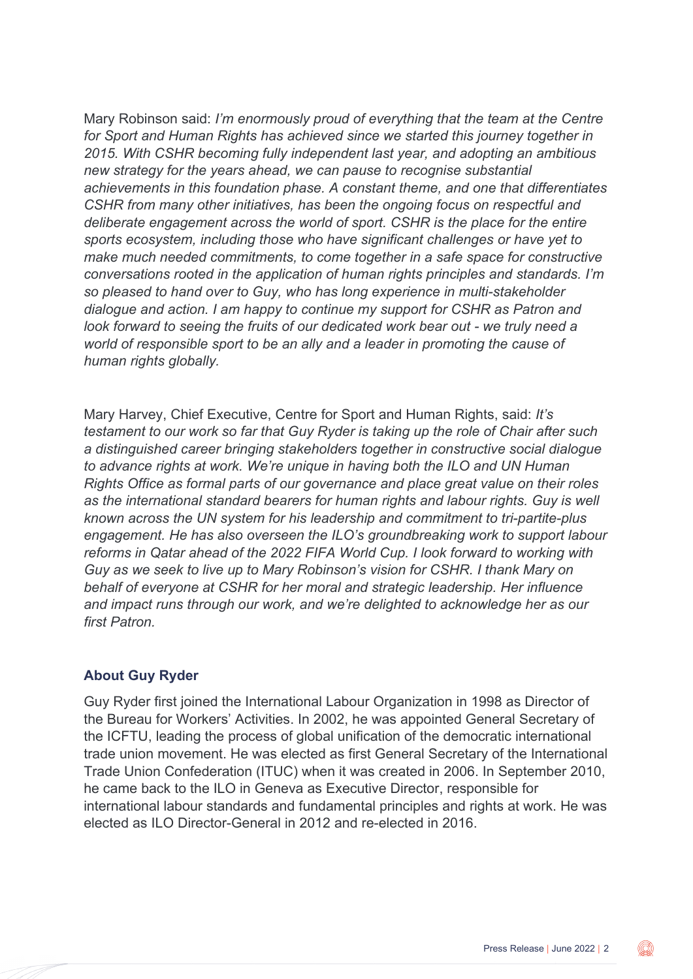Mary Robinson said: *I'm enormously proud of everything that the team at the Centre for Sport and Human Rights has achieved since we started this journey together in 2015. With CSHR becoming fully independent last year, and adopting an ambitious new strategy for the years ahead, we can pause to recognise substantial achievements in this foundation phase. A constant theme, and one that differentiates CSHR from many other initiatives, has been the ongoing focus on respectful and deliberate engagement across the world of sport. CSHR is the place for the entire sports ecosystem, including those who have significant challenges or have yet to make much needed commitments, to come together in a safe space for constructive conversations rooted in the application of human rights principles and standards. I'm so pleased to hand over to Guy, who has long experience in multi-stakeholder dialogue and action. I am happy to continue my support for CSHR as Patron and look forward to seeing the fruits of our dedicated work bear out - we truly need a world of responsible sport to be an ally and a leader in promoting the cause of human rights globally.* 

Mary Harvey, Chief Executive, Centre for Sport and Human Rights, said: *It's testament to our work so far that Guy Ryder is taking up the role of Chair after such a distinguished career bringing stakeholders together in constructive social dialogue to advance rights at work. We're unique in having both the ILO and UN Human Rights Office as formal parts of our governance and place great value on their roles as the international standard bearers for human rights and labour rights. Guy is well known across the UN system for his leadership and commitment to tri-partite-plus engagement. He has also overseen the ILO's groundbreaking work to support labour reforms in Qatar ahead of the 2022 FIFA World Cup. I look forward to working with Guy as we seek to live up to Mary Robinson's vision for CSHR. I thank Mary on behalf of everyone at CSHR for her moral and strategic leadership. Her influence and impact runs through our work, and we're delighted to acknowledge her as our first Patron.*

#### **About Guy Ryder**

Guy Ryder first joined the International Labour Organization in 1998 as Director of the Bureau for Workers' Activities. In 2002, he was appointed General Secretary of the ICFTU, leading the process of global unification of the democratic international trade union movement. He was elected as first General Secretary of the International Trade Union Confederation (ITUC) when it was created in 2006. In September 2010, he came back to the ILO in Geneva as Executive Director, responsible for international labour standards and fundamental principles and rights at work. He was elected as ILO Director-General in 2012 and re-elected in 2016.